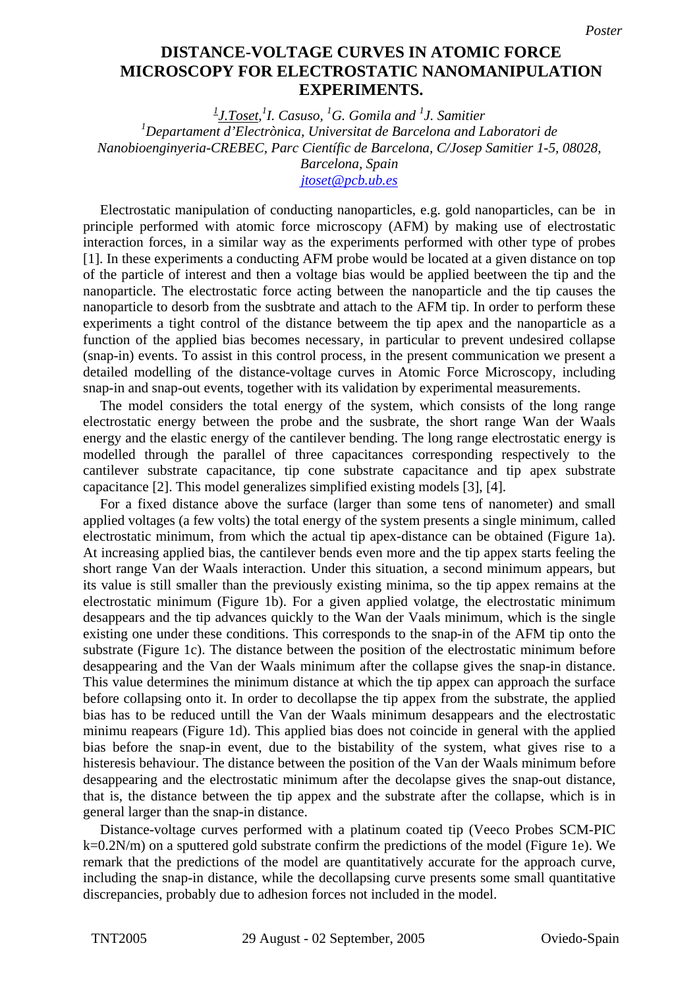## **MICROSCOPY FOR ELECTROSTATIC NANOMANIPULATION nanomanipulation experiments. EXPERIMENTS. DISTANCE-VOLTAGE CURVES IN ATOMIC FORCE**

*1 J.Toset, 1 I. Casuso, <sup>1</sup> G. Gomila and <sup>1</sup> J. Samitier 1 Departament d'Electrònica, Universitat de Barcelona and Laboratori de Nanobioenginyeria-CREBEC, Parc Científic de Barcelona, C/Josep Samitier 1-5, 08028, Barcelona, Spain* 

*[jtoset@pcb.ub.es](mailto:Contact@E-mail)*

Electrostatic manipulation of conducting nanoparticles, e.g. gold nanoparticles, can be in principle performed with atomic force microscopy (AFM) by making use of electrostatic interaction forces, in a similar way as the experiments performed with other type of probes [1]. In these experiments a conducting AFM probe would be located at a given distance on top of the particle of interest and then a voltage bias would be applied beetween the tip and the nanoparticle. The electrostatic force acting between the nanoparticle and the tip causes the nanoparticle to desorb from the susbtrate and attach to the AFM tip. In order to perform these experiments a tight control of the distance betweem the tip apex and the nanoparticle as a function of the applied bias becomes necessary, in particular to prevent undesired collapse (snap-in) events. To assist in this control process, in the present communication we present a detailed modelling of the distance-voltage curves in Atomic Force Microscopy, including snap-in and snap-out events, together with its validation by experimental measurements.

The model considers the total energy of the system, which consists of the long range electrostatic energy between the probe and the susbrate, the short range Wan der Waals energy and the elastic energy of the cantilever bending. The long range electrostatic energy is modelled through the parallel of three capacitances corresponding respectively to the cantilever substrate capacitance, tip cone substrate capacitance and tip apex substrate capacitance [2]. This model generalizes simplified existing models [3], [4].

For a fixed distance above the surface (larger than some tens of nanometer) and small applied voltages (a few volts) the total energy of the system presents a single minimum, called electrostatic minimum, from which the actual tip apex-distance can be obtained (Figure 1a). At increasing applied bias, the cantilever bends even more and the tip appex starts feeling the short range Van der Waals interaction. Under this situation, a second minimum appears, but its value is still smaller than the previously existing minima, so the tip appex remains at the electrostatic minimum (Figure 1b). For a given applied volatge, the electrostatic minimum desappears and the tip advances quickly to the Wan der Vaals minimum, which is the single existing one under these conditions. This corresponds to the snap-in of the AFM tip onto the substrate (Figure 1c). The distance between the position of the electrostatic minimum before desappearing and the Van der Waals minimum after the collapse gives the snap-in distance. This value determines the minimum distance at which the tip appex can approach the surface before collapsing onto it. In order to decollapse the tip appex from the substrate, the applied bias has to be reduced untill the Van der Waals minimum desappears and the electrostatic minimu reapears (Figure 1d). This applied bias does not coincide in general with the applied bias before the snap-in event, due to the bistability of the system, what gives rise to a histeresis behaviour. The distance between the position of the Van der Waals minimum before desappearing and the electrostatic minimum after the decolapse gives the snap-out distance, that is, the distance between the tip appex and the substrate after the collapse, which is in general larger than the snap-in distance.

Distance-voltage curves performed with a platinum coated tip (Veeco Probes SCM-PIC k=0.2N/m) on a sputtered gold substrate confirm the predictions of the model (Figure 1e). We remark that the predictions of the model are quantitatively accurate for the approach curve, including the snap-in distance, while the decollapsing curve presents some small quantitative discrepancies, probably due to adhesion forces not included in the model.